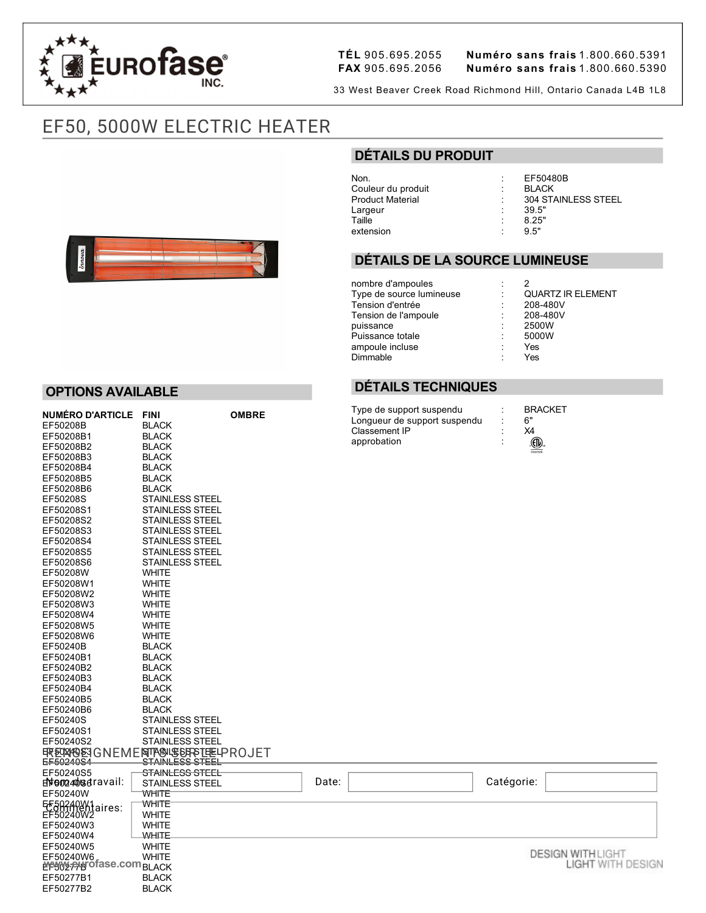

**OPTIONS AVAILABLE**

EF50208B BLACK<br>EF50208B1 BLACK

EF50208B2 BLACK<br>EF50208B3 BLACK EF50208B3<br>EF50208B4 BLACK

EF50208B1

EF50277B2

**TÉL** 905.695.2055 **Numéro sans frais** 1.800.660.5391 **FAX** 905.695.2056 **Numéro sans frais** 1.800.660.5390

33 West Beaver Creek Road Richmond Hill, Ontario Canada L4B 1L8

# EF50, 5000W ELECTRIC HEATER

**NUMÉRO D'ARTICLE FINI OMBRE**

## **DÉTAILS DU PRODUIT**

Non. : EF50480B Couleur du produit Largeur : 39.5" Taille : 8.25" extension

Product Material : 304 STAINLESS STEEL

#### **DÉTAILS DE LA SOURCE LUMINEUSE**

nombre d'ampoules<br>
Type de source lumineuse<br>  $\begin{array}{ccc} \n\therefore & 2 \\
\end{array}$   $\begin{array}{ccc} 2 \\
\end{array}$   $\begin{array}{ccc} \text{QUARTZ IR ELEMENT} \\
\end{array}$ Type de source lumineuse : QUARTZ IR ELEMENT Tension d'entrée : 208480V Tension de l'ampoule  $\begin{array}{ccc} \text{7} & \text{208-48} \\ \text{puissance} & \text{2500W} \end{array}$ puissance : 2500W Puissance totale  $\begin{array}{ccc} 500 \\ = & 500 \end{array}$ <br>ampoule incluse ampoule incluse Dimmable : Yes

## **DÉTAILS TECHNIQUES**

Type de support suspendu : BRACKET<br>Longueur de support suspendu : 6" Longueur de support suspendu : 6"<br>Classement IP : X4 Classement IP approbation :



#### EF50208B4<br>EF50208B5 BLACK EF50208B5 BLACK<br>EF50208B6 BLACK EF50208B6<br>EF50208S STAINLESS STEEL EF50208S1 STAINLESS STEEL EF50208S2 STAINLESS STEEL<br>FF50208S3 STAINLESS STEEL EF50208S3 STAINLESS STEEL<br>EF50208S4 STAINLESS STEEL EF50208S4 STAINLESS STEEL<br>FF50208S5 STAINLESS STEFL EF50208S5 STAINLESS STEEL<br>EF50208S6 STAINLESS STEEL STAINLESS STEEL<br>WHITE EF50208W EF50208W1 WHITE<br>EF50208W2 WHITE EF50208W2 WHITE<br>FF50208W3 WHITE EF50208W3 WHITE<br>EF50208W4 WHITE EF50208W4<br>EF50208W5 WHITE EF50208W5 WHITE<br>EF50208W6 WHITE EF50208W6 EF50240B BLACK<br>EF50240B1 BLACK EF50240B1 BLACK<br>EF50240B2 BLACK EF50240B2 BLACK<br>EF50240B3 BLACK EF50240B3 BLACK<br>EF50240B4 BLACK EF50240B4 EF50240B5 BLACK<br>EF50240B6 BLACK EF50240B6<br>EF50240S EF50240S STAINLESS STEEL STAINLESS STEEL EF50240S2 STAINLESS STEEL <u>FRENNOEJ</u>GNEMENT<u>RAJESTSTEE</u>LPROJET E<del>F50240S4 STAINLESS STEEL</del><br>EF50240S5 <sub>厂</sub>STAINLE<del>SS STEEL</del> STAINLESS STEEL<br>STAINLESS STEEL **d\#e@240s**&ravail: │ STAINLESS STEEL │ Date: │ │ Catégorie: EF50240W WHITE<br>EF50240W1.iroo: WHITE EF50240AV1aires WHITE <del>COMM</del>entaires: WHITE<br>EF50240W2 EF50240W3 WHITE EF50240W4 WHITE EF50240W5 **DESIGN WITH LIGHT** EF50240W6 WHITE **[www.eurofase.com](https://www.eurofase.com)**bLACK **LIGHT WITH DESIGN** EF50277B1 BLACK<br>EF50277B2 BLACK